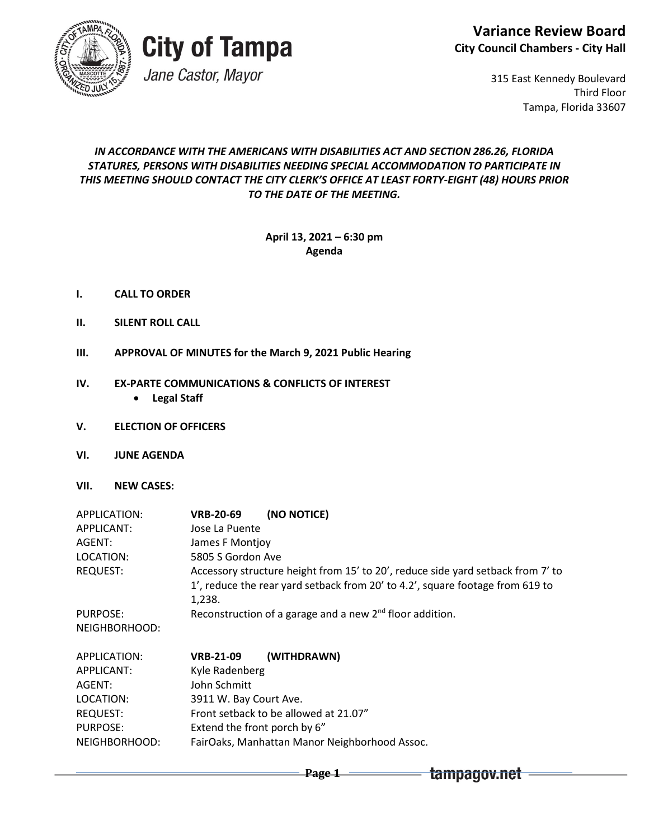



# **City of Tampa**

Jane Castor, Mayor

315 East Kennedy Boulevard Third Floor Tampa, Florida 33607

### *IN ACCORDANCE WITH THE AMERICANS WITH DISABILITIES ACT AND SECTION 286.26, FLORIDA STATURES, PERSONS WITH DISABILITIES NEEDING SPECIAL ACCOMMODATION TO PARTICIPATE IN THIS MEETING SHOULD CONTACT THE CITY CLERK'S OFFICE AT LEAST FORTY-EIGHT (48) HOURS PRIOR TO THE DATE OF THE MEETING.*

### **April 13, 2021 – 6:30 pm Agenda**

- **I. CALL TO ORDER**
- **II. SILENT ROLL CALL**
- **III. APPROVAL OF MINUTES for the March 9, 2021 Public Hearing**

#### **IV. EX-PARTE COMMUNICATIONS & CONFLICTS OF INTEREST**

- **Legal Staff**
- **V. ELECTION OF OFFICERS**
- **VI. JUNE AGENDA**
- **VII. NEW CASES:**

| APPLICATION:  | (NO NOTICE)<br><b>VRB-20-69</b>                                                                                                                                            |  |  |
|---------------|----------------------------------------------------------------------------------------------------------------------------------------------------------------------------|--|--|
| APPLICANT:    | Jose La Puente                                                                                                                                                             |  |  |
| AGENT:        | James F Montjoy                                                                                                                                                            |  |  |
| LOCATION:     | 5805 S Gordon Ave                                                                                                                                                          |  |  |
| REQUEST:      | Accessory structure height from 15' to 20', reduce side yard setback from 7' to<br>1', reduce the rear yard setback from 20' to 4.2', square footage from 619 to<br>1.238. |  |  |
| PURPOSE:      | Reconstruction of a garage and a new $2nd$ floor addition.                                                                                                                 |  |  |
| NEIGHBORHOOD: |                                                                                                                                                                            |  |  |
| APPLICATION:  | (WITHDRAWN)<br><b>VRB-21-09</b>                                                                                                                                            |  |  |
| APPLICANT:    | Kyle Radenberg                                                                                                                                                             |  |  |
| AGENT:        | John Schmitt                                                                                                                                                               |  |  |

**Page 1**

- LOCATION: 3911 W. Bay Court Ave. REQUEST: Front setback to be allowed at 21.07" PURPOSE: Extend the front porch by 6"
- NEIGHBORHOOD: FairOaks, Manhattan Manor Neighborhood Assoc.

tampagov.net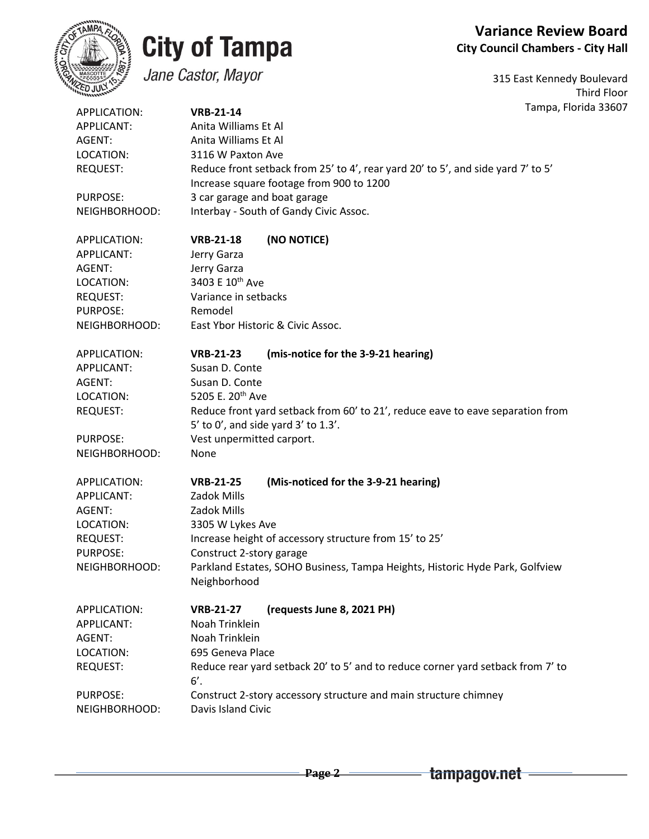## **Variance Review Board City Council Chambers - City Hall**



# **City of Tampa**

Jane Castor, Mayor

315 East Kennedy Boulevard Third Floor Tampa, Florida 33607

| APPLICATION:    | <b>VRB-21-14</b>                                                                       | Tampa, Flo |  |  |
|-----------------|----------------------------------------------------------------------------------------|------------|--|--|
| APPLICANT:      | Anita Williams Et Al                                                                   |            |  |  |
| AGENT:          | Anita Williams Et Al                                                                   |            |  |  |
| LOCATION:       | 3116 W Paxton Ave                                                                      |            |  |  |
| <b>REQUEST:</b> | Reduce front setback from 25' to 4', rear yard 20' to 5', and side yard 7' to 5'       |            |  |  |
|                 | Increase square footage from 900 to 1200                                               |            |  |  |
| PURPOSE:        | 3 car garage and boat garage                                                           |            |  |  |
| NEIGHBORHOOD:   | Interbay - South of Gandy Civic Assoc.                                                 |            |  |  |
| APPLICATION:    | (NO NOTICE)<br><b>VRB-21-18</b>                                                        |            |  |  |
| APPLICANT:      | Jerry Garza                                                                            |            |  |  |
| AGENT:          | Jerry Garza                                                                            |            |  |  |
| LOCATION:       | 3403 E 10 <sup>th</sup> Ave                                                            |            |  |  |
| <b>REQUEST:</b> | Variance in setbacks                                                                   |            |  |  |
| PURPOSE:        | Remodel                                                                                |            |  |  |
| NEIGHBORHOOD:   | East Ybor Historic & Civic Assoc.                                                      |            |  |  |
| APPLICATION:    | (mis-notice for the 3-9-21 hearing)<br><b>VRB-21-23</b>                                |            |  |  |
| APPLICANT:      | Susan D. Conte                                                                         |            |  |  |
| AGENT:          | Susan D. Conte                                                                         |            |  |  |
| LOCATION:       | 5205 E. 20 <sup>th</sup> Ave                                                           |            |  |  |
| <b>REQUEST:</b> | Reduce front yard setback from 60' to 21', reduce eave to eave separation from         |            |  |  |
|                 | $5'$ to $0'$ , and side yard $3'$ to $1.3'$ .                                          |            |  |  |
| PURPOSE:        | Vest unpermitted carport.                                                              |            |  |  |
| NEIGHBORHOOD:   | None                                                                                   |            |  |  |
| APPLICATION:    | (Mis-noticed for the 3-9-21 hearing)<br><b>VRB-21-25</b>                               |            |  |  |
| APPLICANT:      | Zadok Mills                                                                            |            |  |  |
| AGENT:          | Zadok Mills                                                                            |            |  |  |
| LOCATION:       | 3305 W Lykes Ave                                                                       |            |  |  |
| <b>REQUEST:</b> | Increase height of accessory structure from 15' to 25'                                 |            |  |  |
| PURPOSE:        | Construct 2-story garage                                                               |            |  |  |
| NEIGHBORHOOD:   | Parkland Estates, SOHO Business, Tampa Heights, Historic Hyde Park, Golfview           |            |  |  |
|                 | Neighborhood                                                                           |            |  |  |
| APPLICATION:    | (requests June 8, 2021 PH)<br><b>VRB-21-27</b>                                         |            |  |  |
| APPLICANT:      | Noah Trinklein                                                                         |            |  |  |
| AGENT:          | Noah Trinklein                                                                         |            |  |  |
| LOCATION:       | 695 Geneva Place                                                                       |            |  |  |
| <b>REQUEST:</b> | Reduce rear yard setback 20' to 5' and to reduce corner yard setback from 7' to<br>6'. |            |  |  |
| PURPOSE:        | Construct 2-story accessory structure and main structure chimney                       |            |  |  |
| NEIGHBORHOOD:   | Davis Island Civic                                                                     |            |  |  |
|                 |                                                                                        |            |  |  |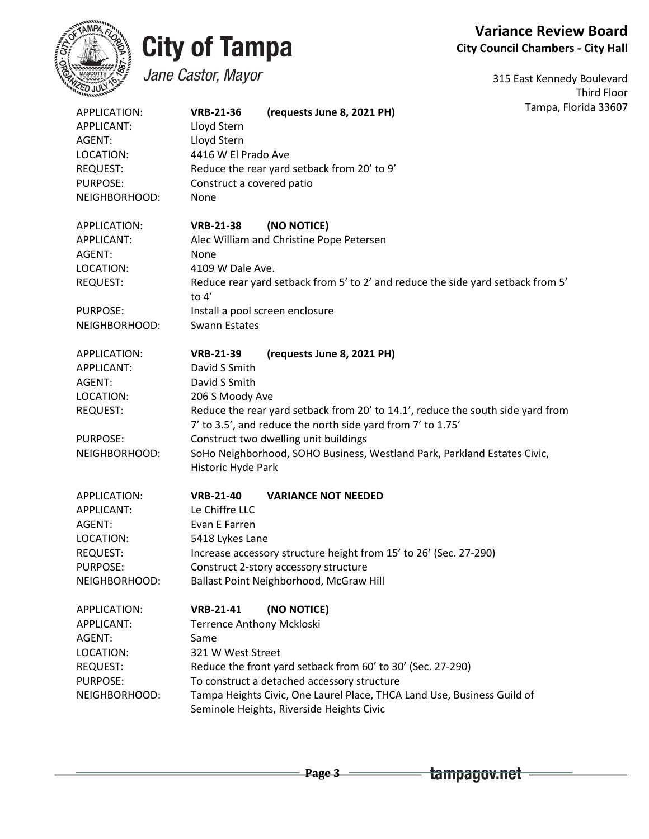

# **City of Tampa**

# **Variance Review Board City Council Chambers - City Hall**

Jane Castor, Mayor

315 East Kennedy Boulevard Third Floor Tampa, Florida 33607

| APPLICATION:<br><b>APPLICANT:</b> | <b>VRB-21-36</b><br>Lloyd Stern                                   | (requests June 8, 2021 PH)                                                                                                                     | Tampa, Florida |  |  |
|-----------------------------------|-------------------------------------------------------------------|------------------------------------------------------------------------------------------------------------------------------------------------|----------------|--|--|
| AGENT:                            | Lloyd Stern                                                       |                                                                                                                                                |                |  |  |
| LOCATION:                         | 4416 W El Prado Ave                                               |                                                                                                                                                |                |  |  |
| <b>REQUEST:</b>                   | Reduce the rear yard setback from 20' to 9'                       |                                                                                                                                                |                |  |  |
| PURPOSE:                          | Construct a covered patio                                         |                                                                                                                                                |                |  |  |
| NEIGHBORHOOD:                     | None                                                              |                                                                                                                                                |                |  |  |
| APPLICATION:                      | <b>VRB-21-38</b>                                                  | (NO NOTICE)                                                                                                                                    |                |  |  |
| APPLICANT:                        |                                                                   | Alec William and Christine Pope Petersen                                                                                                       |                |  |  |
| AGENT:                            | None                                                              |                                                                                                                                                |                |  |  |
| LOCATION:                         | 4109 W Dale Ave.                                                  |                                                                                                                                                |                |  |  |
| <b>REQUEST:</b>                   | to $4'$                                                           | Reduce rear yard setback from 5' to 2' and reduce the side yard setback from 5'                                                                |                |  |  |
| PURPOSE:                          |                                                                   | Install a pool screen enclosure                                                                                                                |                |  |  |
| NEIGHBORHOOD:                     | <b>Swann Estates</b>                                              |                                                                                                                                                |                |  |  |
| APPLICATION:                      | <b>VRB-21-39</b>                                                  | (requests June 8, 2021 PH)                                                                                                                     |                |  |  |
| APPLICANT:                        | David S Smith                                                     |                                                                                                                                                |                |  |  |
| AGENT:                            | David S Smith                                                     |                                                                                                                                                |                |  |  |
| LOCATION:                         | 206 S Moody Ave                                                   |                                                                                                                                                |                |  |  |
| <b>REQUEST:</b>                   |                                                                   | Reduce the rear yard setback from 20' to 14.1', reduce the south side yard from<br>7' to 3.5', and reduce the north side yard from 7' to 1.75' |                |  |  |
| <b>PURPOSE:</b>                   |                                                                   | Construct two dwelling unit buildings                                                                                                          |                |  |  |
| NEIGHBORHOOD:                     | Historic Hyde Park                                                | SoHo Neighborhood, SOHO Business, Westland Park, Parkland Estates Civic,                                                                       |                |  |  |
| APPLICATION:                      | <b>VRB-21-40</b>                                                  | <b>VARIANCE NOT NEEDED</b>                                                                                                                     |                |  |  |
| APPLICANT:                        | Le Chiffre LLC                                                    |                                                                                                                                                |                |  |  |
| AGENT:                            | Evan E Farren                                                     |                                                                                                                                                |                |  |  |
| LOCATION:                         | 5418 Lykes Lane                                                   |                                                                                                                                                |                |  |  |
| <b>REQUEST:</b>                   | Increase accessory structure height from 15' to 26' (Sec. 27-290) |                                                                                                                                                |                |  |  |
| PURPOSE:                          | Construct 2-story accessory structure                             |                                                                                                                                                |                |  |  |
| NEIGHBORHOOD:                     |                                                                   | Ballast Point Neighborhood, McGraw Hill                                                                                                        |                |  |  |
| APPLICATION:                      | <b>VRB-21-41</b>                                                  | (NO NOTICE)                                                                                                                                    |                |  |  |
| APPLICANT:                        | Terrence Anthony Mckloski                                         |                                                                                                                                                |                |  |  |
| AGENT:                            | Same                                                              |                                                                                                                                                |                |  |  |
| LOCATION:                         | 321 W West Street                                                 |                                                                                                                                                |                |  |  |
| <b>REQUEST:</b>                   |                                                                   | Reduce the front yard setback from 60' to 30' (Sec. 27-290)                                                                                    |                |  |  |
| PURPOSE:                          |                                                                   | To construct a detached accessory structure                                                                                                    |                |  |  |
| NEIGHBORHOOD:                     |                                                                   | Tampa Heights Civic, One Laurel Place, THCA Land Use, Business Guild of<br>Seminole Heights, Riverside Heights Civic                           |                |  |  |